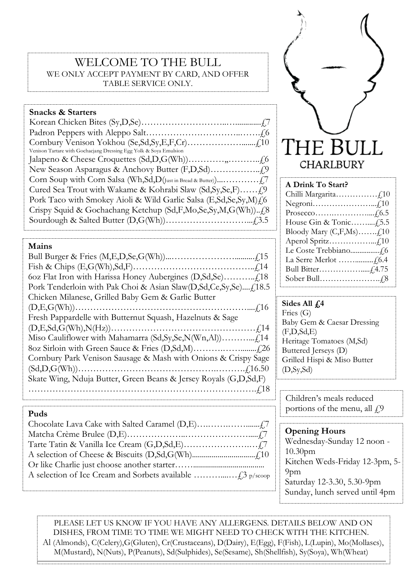# WELCOME TO THE BULL WE ONLY ACCEPT PAYMENT BY CARD, AND OFFER TABLE SERVICE ONLY.

### **Snacks & Starters**

| Venison Tartare with Gochacjang Dressing Egg Yolk & Soya Emulsion  |
|--------------------------------------------------------------------|
|                                                                    |
|                                                                    |
|                                                                    |
|                                                                    |
| Pork Taco with Smokey Aioli & Wild Garlic Salsa (E,Sd,Se,Sy,M) { 6 |
|                                                                    |
|                                                                    |

**Mains**

| Chicken Milanese, Grilled Baby Gem & Garlic Butter               |
|------------------------------------------------------------------|
|                                                                  |
| Fresh Pappardelle with Butternut Squash, Hazelnuts & Sage        |
|                                                                  |
|                                                                  |
|                                                                  |
| Cornbury Park Venison Sausage & Mash with Onions & Crispy Sage   |
|                                                                  |
| Skate Wing, Nduja Butter, Green Beans & Jersey Royals (G,D,Sd,F) |
|                                                                  |
|                                                                  |



| A Drink To Start?                |  |
|----------------------------------|--|
|                                  |  |
|                                  |  |
|                                  |  |
|                                  |  |
| Bloody Mary $(C, F, Ms)$ $f, 10$ |  |
|                                  |  |
|                                  |  |

La Serre Merlot ……..........£6.4 Bull Bitter…………….....£4.75 Sober Bull………………….£8

| Sides All $f4$              |
|-----------------------------|
| Fries $(G)$                 |
| Baby Gem & Caesar Dressing  |
| (F,D, Sd, E)                |
| Heritage Tomatoes (M,Sd)    |
| Buttered Jerseys (D)        |
| Grilled Hispi & Miso Butter |
| (D, Sy, Sd)                 |

Children's meals reduced **Puds**  $\left[\text{Poisson} \times \text{Poisson}\right]$  **Puds** 

> **Opening Hours** Wednesday-Sunday 12 noon - 10.30pm Kitchen Weds-Friday 12-3pm, 5- 9pm Saturday 12-3.30, 5.30-9pm Sunday, lunch served until 4pm

PLEASE LET US KNOW IF YOU HAVE ANY ALLERGENS. DETAILS BELOW AND ON DISHES, FROM TIME TO TIME WE MIGHT NEED TO CHECK WITH THE KITCHEN. Al (Almonds), C(Celery),G(Gluten), Cr(Crustaceans), D(Dairy), E(Egg), F(Fish), L(Lupin), Mo(Mollascs), M(Mustard), N(Nuts), P(Peanuts), Sd(Sulphides), Se(Sesame), Sh(Shellfish), Sy(Soya), Wh(Wheat)